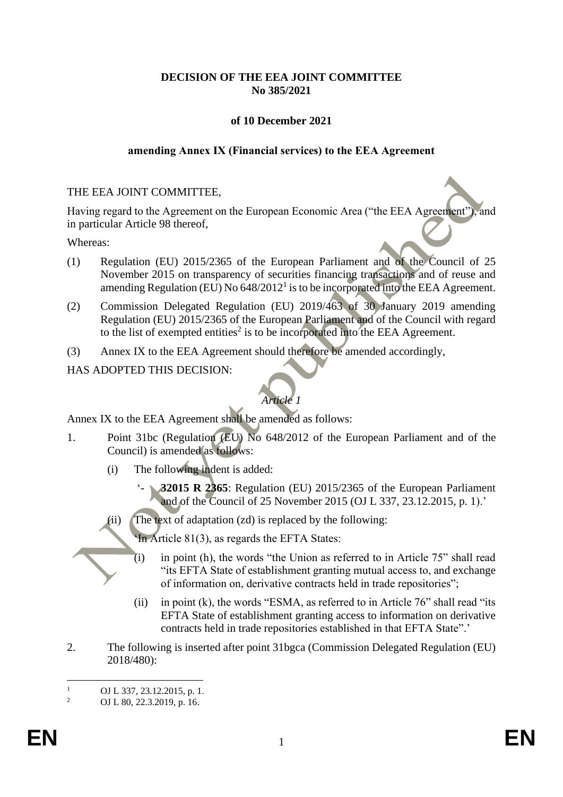# **DECISION OF THE EEA JOINT COMMITTEE No 385/2021**

# **of 10 December 2021**

#### **amending Annex IX (Financial services) to the EEA Agreement**

#### THE EEA JOINT COMMITTEE,

Having regard to the Agreement on the European Economic Area ("the EEA Agreement"), and in particular Article 98 thereof,

#### Whereas:

- (1) Regulation (EU) 2015/2365 of the European Parliament and of the Council of 25 November 2015 on transparency of securities financing transactions and of reuse and amending Regulation (EU) No  $648/2012^1$  is to be incorporated into the EEA Agreement.
- (2) Commission Delegated Regulation (EU) 2019/463 of 30 January 2019 amending Regulation (EU) 2015/2365 of the European Parliament and of the Council with regard to the list of exempted entities<sup>2</sup> is to be incorporated into the EEA Agreement.
- (3) Annex IX to the EEA Agreement should therefore be amended accordingly,

# HAS ADOPTED THIS DECISION:

# *Article 1*

Annex IX to the EEA Agreement shall be amended as follows:

- 1. Point 31bc (Regulation (EU) No 648/2012 of the European Parliament and of the Council) is amended as follows:
	- (i) The following indent is added:
		- **32015 R 2365**: Regulation (EU) 2015/2365 of the European Parliament and of the Council of 25 November 2015 (OJ L 337, 23.12.2015, p. 1).'
	- (ii) The text of adaptation (zd) is replaced by the following:
		- 'In Article 81(3), as regards the EFTA States:
		- $(i)$  in point (h), the words "the Union as referred to in Article 75" shall read "its EFTA State of establishment granting mutual access to, and exchange of information on, derivative contracts held in trade repositories";
		- (ii) in point (k), the words "ESMA, as referred to in Article  $76$ " shall read "its EFTA State of establishment granting access to information on derivative contracts held in trade repositories established in that EFTA State".'
- 2. The following is inserted after point 31bgca (Commission Delegated Regulation (EU) 2018/480):

<sup>&</sup>lt;sup>1</sup> OJ L 337, 23.12.2015, p. 1.<br><sup>2</sup> OJ L 80, 22, 2010, p. 16

<sup>2</sup> OJ L 80, 22.3.2019, p. 16.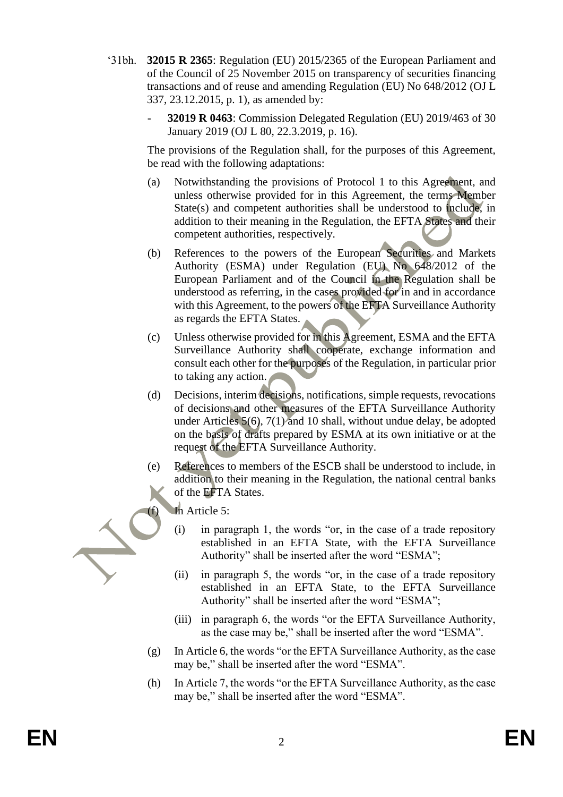- '31bh. **32015 R 2365**: Regulation (EU) 2015/2365 of the European Parliament and of the Council of 25 November 2015 on transparency of securities financing transactions and of reuse and amending Regulation (EU) No 648/2012 (OJ L 337, 23.12.2015, p. 1), as amended by:
	- **32019 R 0463**: Commission Delegated Regulation (EU) 2019/463 of 30 January 2019 (OJ L 80, 22.3.2019, p. 16).

The provisions of the Regulation shall, for the purposes of this Agreement, be read with the following adaptations:

- (a) Notwithstanding the provisions of Protocol 1 to this Agreement, and unless otherwise provided for in this Agreement, the terms Member State(s) and competent authorities shall be understood to include, in addition to their meaning in the Regulation, the EFTA States and their competent authorities, respectively.
- (b) References to the powers of the European Securities and Markets Authority (ESMA) under Regulation (EU) No 648/2012 of the European Parliament and of the Council in the Regulation shall be understood as referring, in the cases provided for in and in accordance with this Agreement, to the powers of the EFTA Surveillance Authority as regards the EFTA States.
- (c) Unless otherwise provided for in this Agreement, ESMA and the EFTA Surveillance Authority shall cooperate, exchange information and consult each other for the purposes of the Regulation, in particular prior to taking any action.
- (d) Decisions, interim decisions, notifications, simple requests, revocations of decisions and other measures of the EFTA Surveillance Authority under Articles 5(6), 7(1) and 10 shall, without undue delay, be adopted on the basis of drafts prepared by ESMA at its own initiative or at the request of the EFTA Surveillance Authority.
- (e) References to members of the ESCB shall be understood to include, in addition to their meaning in the Regulation, the national central banks of the EFTA States.

In Article 5:

- (i) in paragraph 1, the words "or, in the case of a trade repository established in an EFTA State, with the EFTA Surveillance Authority" shall be inserted after the word "ESMA";
- (ii) in paragraph 5, the words "or, in the case of a trade repository established in an EFTA State, to the EFTA Surveillance Authority" shall be inserted after the word "ESMA";
- (iii) in paragraph 6, the words "or the EFTA Surveillance Authority, as the case may be," shall be inserted after the word "ESMA".
- (g) In Article 6, the words "or the EFTA Surveillance Authority, as the case may be," shall be inserted after the word "ESMA".
- (h) In Article 7, the words "or the EFTA Surveillance Authority, as the case may be," shall be inserted after the word "ESMA".

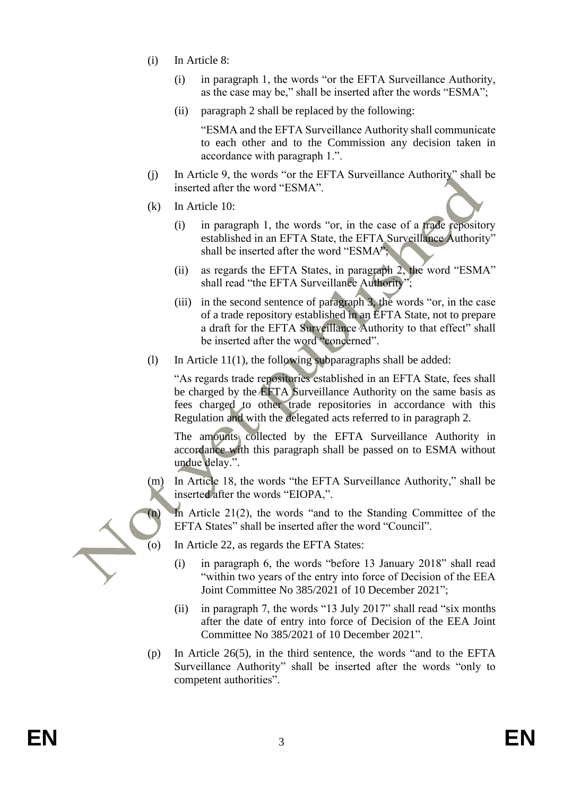- (i) In Article 8:
	- (i) in paragraph 1, the words "or the EFTA Surveillance Authority, as the case may be," shall be inserted after the words "ESMA";
	- (ii) paragraph 2 shall be replaced by the following:

"ESMA and the EFTA Surveillance Authority shall communicate to each other and to the Commission any decision taken in accordance with paragraph 1.".

- (j) In Article 9, the words "or the EFTA Surveillance Authority" shall be inserted after the word "ESMA".
- (k) In Article 10:
	- (i) in paragraph 1, the words "or, in the case of a trade repository established in an EFTA State, the EFTA Surveillance Authority" shall be inserted after the word "ESMA";
	- (ii) as regards the EFTA States, in paragraph 2, the word "ESMA" shall read "the EFTA Surveillance Authority";
	- (iii) in the second sentence of paragraph 3, the words "or, in the case of a trade repository established in an EFTA State, not to prepare a draft for the EFTA Surveillance Authority to that effect" shall be inserted after the word "concerned".
- (1) In Article 11(1), the following subparagraphs shall be added:

"As regards trade repositories established in an EFTA State, fees shall be charged by the EFTA Surveillance Authority on the same basis as fees charged to other trade repositories in accordance with this Regulation and with the delegated acts referred to in paragraph 2.

The amounts collected by the EFTA Surveillance Authority in accordance with this paragraph shall be passed on to ESMA without undue delay.".

(m) In Article 18, the words "the EFTA Surveillance Authority," shall be inserted after the words "EIOPA,".

(n) In Article 21(2), the words "and to the Standing Committee of the EFTA States" shall be inserted after the word "Council".

- (o) In Article 22, as regards the EFTA States:
	- (i) in paragraph 6, the words "before 13 January 2018" shall read "within two years of the entry into force of Decision of the EEA Joint Committee No 385/2021 of 10 December 2021";
	- (ii) in paragraph 7, the words "13 July 2017" shall read "six months after the date of entry into force of Decision of the EEA Joint Committee No 385/2021 of 10 December 2021".
- (p) In Article 26(5), in the third sentence, the words "and to the EFTA Surveillance Authority" shall be inserted after the words "only to competent authorities".

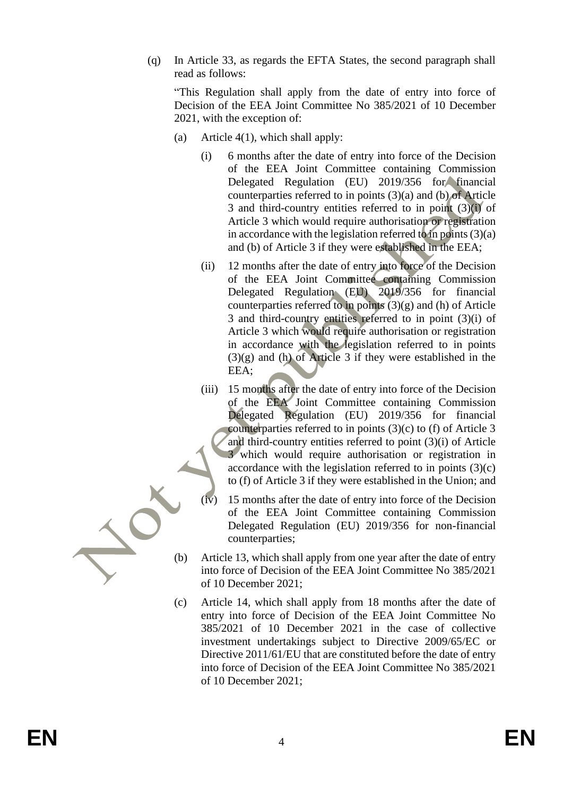(q) In Article 33, as regards the EFTA States, the second paragraph shall read as follows:

"This Regulation shall apply from the date of entry into force of Decision of the EEA Joint Committee No 385/2021 of 10 December 2021, with the exception of:

- (a) Article 4(1), which shall apply:
	- (i) 6 months after the date of entry into force of the Decision of the EEA Joint Committee containing Commission Delegated Regulation (EU) 2019/356 for financial counterparties referred to in points (3)(a) and (b) of Article 3 and third-country entities referred to in point (3)(i) of Article 3 which would require authorisation or registration in accordance with the legislation referred to in points  $(3)(a)$ and (b) of Article 3 if they were established in the EEA;
	- (ii) 12 months after the date of entry into force of the Decision of the EEA Joint Committee containing Commission Delegated Regulation (EU) 2019/356 for financial counterparties referred to in points (3)(g) and (h) of Article 3 and third-country entities referred to in point (3)(i) of Article 3 which would require authorisation or registration in accordance with the legislation referred to in points  $(3)(g)$  and (h) of Article 3 if they were established in the EEA;
	- (iii) 15 months after the date of entry into force of the Decision of the EEA Joint Committee containing Commission Delegated Regulation (EU) 2019/356 for financial counterparties referred to in points (3)(c) to (f) of Article 3 and third-country entities referred to point (3)(i) of Article 3 which would require authorisation or registration in accordance with the legislation referred to in points  $(3)(c)$ to (f) of Article 3 if they were established in the Union; and
	- 15 months after the date of entry into force of the Decision of the EEA Joint Committee containing Commission Delegated Regulation (EU) 2019/356 for non-financial counterparties;
- (b) Article 13, which shall apply from one year after the date of entry into force of Decision of the EEA Joint Committee No 385/2021 of 10 December 2021;
- (c) Article 14, which shall apply from 18 months after the date of entry into force of Decision of the EEA Joint Committee No 385/2021 of 10 December 2021 in the case of collective investment undertakings subject to Directive 2009/65/EC or Directive 2011/61/EU that are constituted before the date of entry into force of Decision of the EEA Joint Committee No 385/2021 of 10 December 2021;